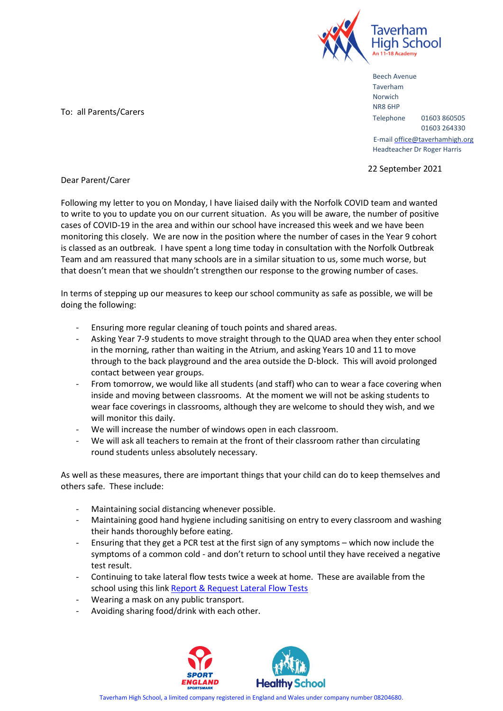

Beech Avenue Taverham Norwich NR8 6HP Telephone 01603 860505 01603 264330 E-mail office@taverhamhigh.org Headteacher Dr Roger Harris

22 September 2021

To: all Parents/Carers

Dear Parent/Carer

Following my letter to you on Monday, I have liaised daily with the Norfolk COVID team and wanted to write to you to update you on our current situation. As you will be aware, the number of positive cases of COVID-19 in the area and within our school have increased this week and we have been monitoring this closely. We are now in the position where the number of cases in the Year 9 cohort is classed as an outbreak. I have spent a long time today in consultation with the Norfolk Outbreak Team and am reassured that many schools are in a similar situation to us, some much worse, but that doesn't mean that we shouldn't strengthen our response to the growing number of cases.

In terms of stepping up our measures to keep our school community as safe as possible, we will be doing the following:

- Ensuring more regular cleaning of touch points and shared areas.
- Asking Year 7-9 students to move straight through to the QUAD area when they enter school in the morning, rather than waiting in the Atrium, and asking Years 10 and 11 to move through to the back playground and the area outside the D-block. This will avoid prolonged contact between year groups.
- From tomorrow, we would like all students (and staff) who can to wear a face covering when inside and moving between classrooms. At the moment we will not be asking students to wear face coverings in classrooms, although they are welcome to should they wish, and we will monitor this daily.
- We will increase the number of windows open in each classroom.
- We will ask all teachers to remain at the front of their classroom rather than circulating round students unless absolutely necessary.

As well as these measures, there are important things that your child can do to keep themselves and others safe. These include:

- Maintaining social distancing whenever possible.
- Maintaining good hand hygiene including sanitising on entry to every classroom and washing their hands thoroughly before eating.
- Ensuring that they get a PCR test at the first sign of any symptoms which now include the symptoms of a common cold - and don't return to school until they have received a negative test result.
- Continuing to take lateral flow tests twice a week at home. These are available from the school using this lin[k Report & Request Lateral Flow Tests](https://forms.office.com/Pages/ResponsePage.aspx?id=A4OLxq6_vUKwzakrubGl7EItNDu-MOpCvQIKUXd8allUMzU3TFZZVUJURlZHRzg4S0VNUFhKNUpJUi4u)
- Wearing a mask on any public transport.
- Avoiding sharing food/drink with each other.